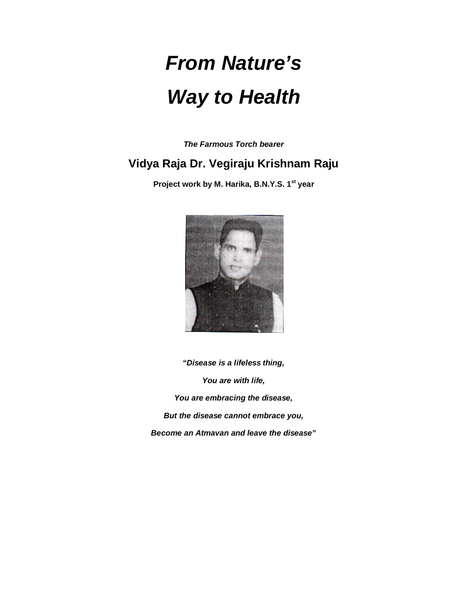# *From Nature's Way to Health*

*The Farmous Torch bearer*

# **Vidya Raja Dr. Vegiraju Krishnam Raju**

**Project work by M. Harika, B.N.Y.S. 1st year**



*"Disease is a lifeless thing, You are with life, You are embracing the disease, But the disease cannot embrace you, Become an Atmavan and leave the disease"*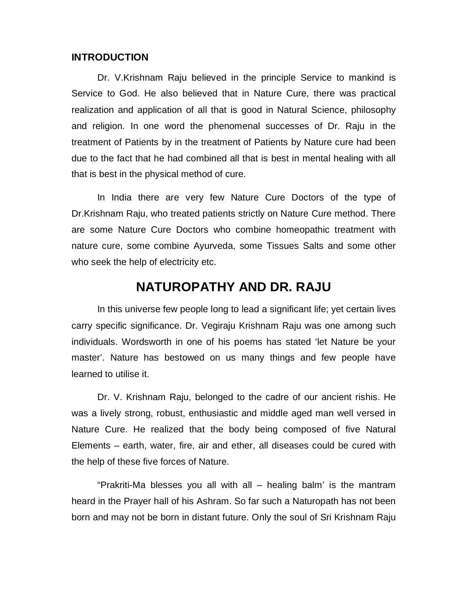## **INTRODUCTION**

Dr. V.Krishnam Raju believed in the principle Service to mankind is Service to God. He also believed that in Nature Cure, there was practical realization and application of all that is good in Natural Science, philosophy and religion. In one word the phenomenal successes of Dr. Raju in the treatment of Patients by in the treatment of Patients by Nature cure had been due to the fact that he had combined all that is best in mental healing with all that is best in the physical method of cure.

In India there are very few Nature Cure Doctors of the type of Dr.Krishnam Raju, who treated patients strictly on Nature Cure method. There are some Nature Cure Doctors who combine homeopathic treatment with nature cure, some combine Ayurveda, some Tissues Salts and some other who seek the help of electricity etc.

# **NATUROPATHY AND DR. RAJU**

In this universe few people long to lead a significant life; yet certain lives carry specific significance. Dr. Vegiraju Krishnam Raju was one among such individuals. Wordsworth in one of his poems has stated 'let Nature be your master'. Nature has bestowed on us many things and few people have learned to utilise it.

Dr. V. Krishnam Raju, belonged to the cadre of our ancient rishis. He was a lively strong, robust, enthusiastic and middle aged man well versed in Nature Cure. He realized that the body being composed of five Natural Elements – earth, water, fire, air and ether, all diseases could be cured with the help of these five forces of Nature.

"Prakriti-Ma blesses you all with all – healing balm' is the mantram heard in the Prayer hall of his Ashram. So far such a Naturopath has not been born and may not be born in distant future. Only the soul of Sri Krishnam Raju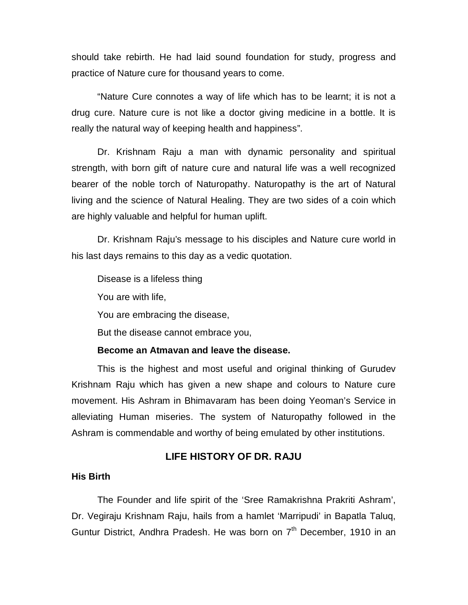should take rebirth. He had laid sound foundation for study, progress and practice of Nature cure for thousand years to come.

"Nature Cure connotes a way of life which has to be learnt; it is not a drug cure. Nature cure is not like a doctor giving medicine in a bottle. It is really the natural way of keeping health and happiness".

Dr. Krishnam Raju a man with dynamic personality and spiritual strength, with born gift of nature cure and natural life was a well recognized bearer of the noble torch of Naturopathy. Naturopathy is the art of Natural living and the science of Natural Healing. They are two sides of a coin which are highly valuable and helpful for human uplift.

Dr. Krishnam Raju's message to his disciples and Nature cure world in his last days remains to this day as a vedic quotation.

Disease is a lifeless thing

You are with life,

You are embracing the disease,

But the disease cannot embrace you,

## **Become an Atmavan and leave the disease.**

This is the highest and most useful and original thinking of Gurudev Krishnam Raju which has given a new shape and colours to Nature cure movement. His Ashram in Bhimavaram has been doing Yeoman's Service in alleviating Human miseries. The system of Naturopathy followed in the Ashram is commendable and worthy of being emulated by other institutions.

# **LIFE HISTORY OF DR. RAJU**

#### **His Birth**

The Founder and life spirit of the 'Sree Ramakrishna Prakriti Ashram', Dr. Vegiraju Krishnam Raju, hails from a hamlet 'Marripudi' in Bapatla Taluq, Guntur District, Andhra Pradesh. He was born on  $7<sup>th</sup>$  December, 1910 in an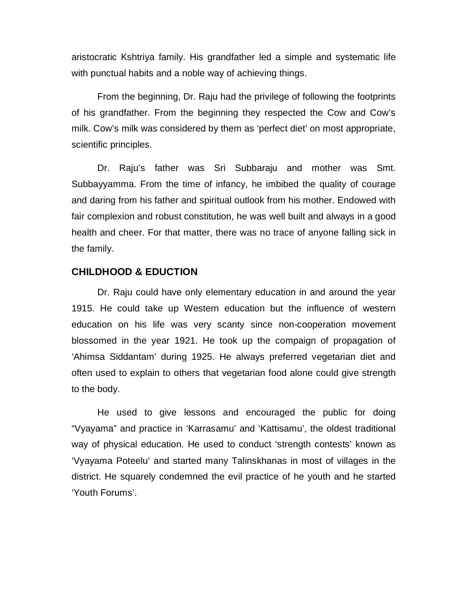aristocratic Kshtriya family. His grandfather led a simple and systematic life with punctual habits and a noble way of achieving things.

From the beginning, Dr. Raju had the privilege of following the footprints of his grandfather. From the beginning they respected the Cow and Cow's milk. Cow's milk was considered by them as 'perfect diet' on most appropriate, scientific principles.

Dr. Raju's father was Sri Subbaraju and mother was Smt. Subbayyamma. From the time of infancy, he imbibed the quality of courage and daring from his father and spiritual outlook from his mother. Endowed with fair complexion and robust constitution, he was well built and always in a good health and cheer. For that matter, there was no trace of anyone falling sick in the family.

# **CHILDHOOD & EDUCTION**

Dr. Raju could have only elementary education in and around the year 1915. He could take up Western education but the influence of western education on his life was very scanty since non-cooperation movement blossomed in the year 1921. He took up the compaign of propagation of 'Ahimsa Siddantam' during 1925. He always preferred vegetarian diet and often used to explain to others that vegetarian food alone could give strength to the body.

He used to give lessons and encouraged the public for doing "Vyayama" and practice in 'Karrasamu' and 'Kattisamu', the oldest traditional way of physical education. He used to conduct 'strength contests' known as 'Vyayama Poteelu' and started many Talinskhanas in most of villages in the district. He squarely condemned the evil practice of he youth and he started 'Youth Forums'.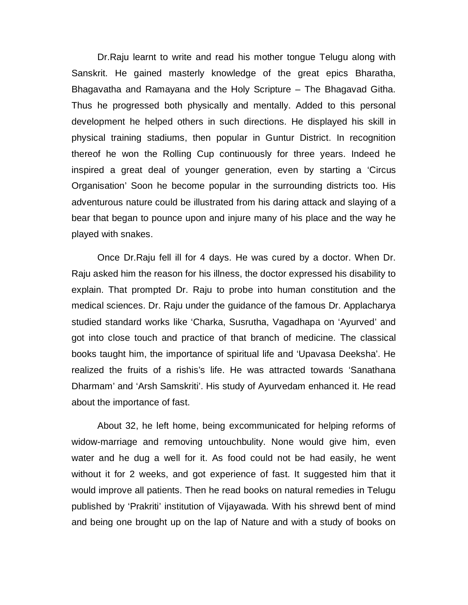Dr.Raju learnt to write and read his mother tongue Telugu along with Sanskrit. He gained masterly knowledge of the great epics Bharatha, Bhagavatha and Ramayana and the Holy Scripture – The Bhagavad Githa. Thus he progressed both physically and mentally. Added to this personal development he helped others in such directions. He displayed his skill in physical training stadiums, then popular in Guntur District. In recognition thereof he won the Rolling Cup continuously for three years. Indeed he inspired a great deal of younger generation, even by starting a 'Circus Organisation' Soon he become popular in the surrounding districts too. His adventurous nature could be illustrated from his daring attack and slaying of a bear that began to pounce upon and injure many of his place and the way he played with snakes.

Once Dr.Raju fell ill for 4 days. He was cured by a doctor. When Dr. Raju asked him the reason for his illness, the doctor expressed his disability to explain. That prompted Dr. Raju to probe into human constitution and the medical sciences. Dr. Raju under the guidance of the famous Dr. Applacharya studied standard works like 'Charka, Susrutha, Vagadhapa on 'Ayurved' and got into close touch and practice of that branch of medicine. The classical books taught him, the importance of spiritual life and 'Upavasa Deeksha'. He realized the fruits of a rishis's life. He was attracted towards 'Sanathana Dharmam' and 'Arsh Samskriti'. His study of Ayurvedam enhanced it. He read about the importance of fast.

About 32, he left home, being excommunicated for helping reforms of widow-marriage and removing untouchbulity. None would give him, even water and he dug a well for it. As food could not be had easily, he went without it for 2 weeks, and got experience of fast. It suggested him that it would improve all patients. Then he read books on natural remedies in Telugu published by 'Prakriti' institution of Vijayawada. With his shrewd bent of mind and being one brought up on the lap of Nature and with a study of books on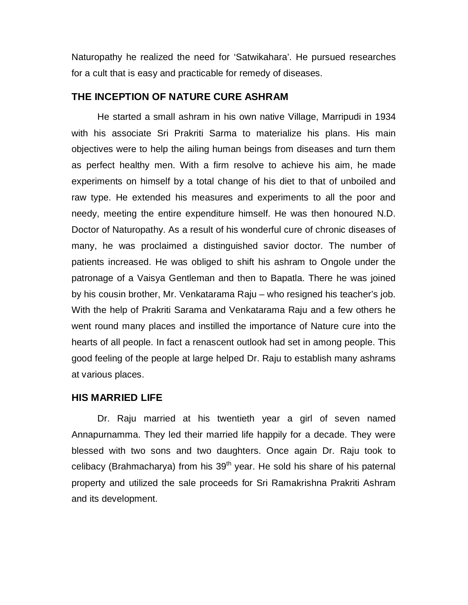Naturopathy he realized the need for 'Satwikahara'. He pursued researches for a cult that is easy and practicable for remedy of diseases.

# **THE INCEPTION OF NATURE CURE ASHRAM**

He started a small ashram in his own native Village, Marripudi in 1934 with his associate Sri Prakriti Sarma to materialize his plans. His main objectives were to help the ailing human beings from diseases and turn them as perfect healthy men. With a firm resolve to achieve his aim, he made experiments on himself by a total change of his diet to that of unboiled and raw type. He extended his measures and experiments to all the poor and needy, meeting the entire expenditure himself. He was then honoured N.D. Doctor of Naturopathy. As a result of his wonderful cure of chronic diseases of many, he was proclaimed a distinguished savior doctor. The number of patients increased. He was obliged to shift his ashram to Ongole under the patronage of a Vaisya Gentleman and then to Bapatla. There he was joined by his cousin brother, Mr. Venkatarama Raju – who resigned his teacher's job. With the help of Prakriti Sarama and Venkatarama Raju and a few others he went round many places and instilled the importance of Nature cure into the hearts of all people. In fact a renascent outlook had set in among people. This good feeling of the people at large helped Dr. Raju to establish many ashrams at various places.

# **HIS MARRIED LIFE**

Dr. Raju married at his twentieth year a girl of seven named Annapurnamma. They led their married life happily for a decade. They were blessed with two sons and two daughters. Once again Dr. Raju took to celibacy (Brahmacharya) from his  $39<sup>th</sup>$  year. He sold his share of his paternal property and utilized the sale proceeds for Sri Ramakrishna Prakriti Ashram and its development.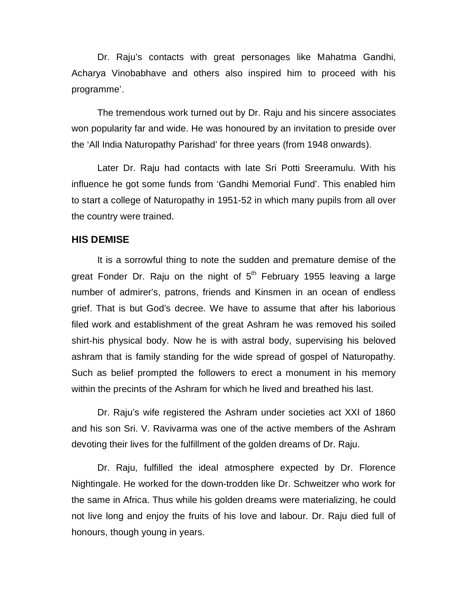Dr. Raju's contacts with great personages like Mahatma Gandhi, Acharya Vinobabhave and others also inspired him to proceed with his programme'.

The tremendous work turned out by Dr. Raju and his sincere associates won popularity far and wide. He was honoured by an invitation to preside over the 'All India Naturopathy Parishad' for three years (from 1948 onwards).

Later Dr. Raju had contacts with late Sri Potti Sreeramulu. With his influence he got some funds from 'Gandhi Memorial Fund'. This enabled him to start a college of Naturopathy in 1951-52 in which many pupils from all over the country were trained.

# **HIS DEMISE**

It is a sorrowful thing to note the sudden and premature demise of the great Fonder Dr. Raju on the night of  $5<sup>th</sup>$  February 1955 leaving a large number of admirer's, patrons, friends and Kinsmen in an ocean of endless grief. That is but God's decree. We have to assume that after his laborious filed work and establishment of the great Ashram he was removed his soiled shirt-his physical body. Now he is with astral body, supervising his beloved ashram that is family standing for the wide spread of gospel of Naturopathy. Such as belief prompted the followers to erect a monument in his memory within the precints of the Ashram for which he lived and breathed his last.

Dr. Raju's wife registered the Ashram under societies act XXI of 1860 and his son Sri. V. Ravivarma was one of the active members of the Ashram devoting their lives for the fulfillment of the golden dreams of Dr. Raju.

Dr. Raju, fulfilled the ideal atmosphere expected by Dr. Florence Nightingale. He worked for the down-trodden like Dr. Schweitzer who work for the same in Africa. Thus while his golden dreams were materializing, he could not live long and enjoy the fruits of his love and labour. Dr. Raju died full of honours, though young in years.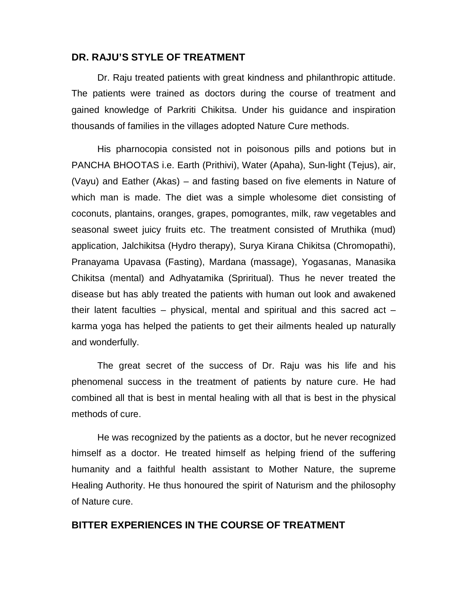#### **DR. RAJU'S STYLE OF TREATMENT**

Dr. Raju treated patients with great kindness and philanthropic attitude. The patients were trained as doctors during the course of treatment and gained knowledge of Parkriti Chikitsa. Under his guidance and inspiration thousands of families in the villages adopted Nature Cure methods.

His pharnocopia consisted not in poisonous pills and potions but in PANCHA BHOOTAS i.e. Earth (Prithivi), Water (Apaha), Sun-light (Tejus), air, (Vayu) and Eather (Akas) – and fasting based on five elements in Nature of which man is made. The diet was a simple wholesome diet consisting of coconuts, plantains, oranges, grapes, pomograntes, milk, raw vegetables and seasonal sweet juicy fruits etc. The treatment consisted of Mruthika (mud) application, Jalchikitsa (Hydro therapy), Surya Kirana Chikitsa (Chromopathi), Pranayama Upavasa (Fasting), Mardana (massage), Yogasanas, Manasika Chikitsa (mental) and Adhyatamika (Spriritual). Thus he never treated the disease but has ably treated the patients with human out look and awakened their latent faculties – physical, mental and spiritual and this sacred act – karma yoga has helped the patients to get their ailments healed up naturally and wonderfully.

The great secret of the success of Dr. Raju was his life and his phenomenal success in the treatment of patients by nature cure. He had combined all that is best in mental healing with all that is best in the physical methods of cure.

He was recognized by the patients as a doctor, but he never recognized himself as a doctor. He treated himself as helping friend of the suffering humanity and a faithful health assistant to Mother Nature, the supreme Healing Authority. He thus honoured the spirit of Naturism and the philosophy of Nature cure.

# **BITTER EXPERIENCES IN THE COURSE OF TREATMENT**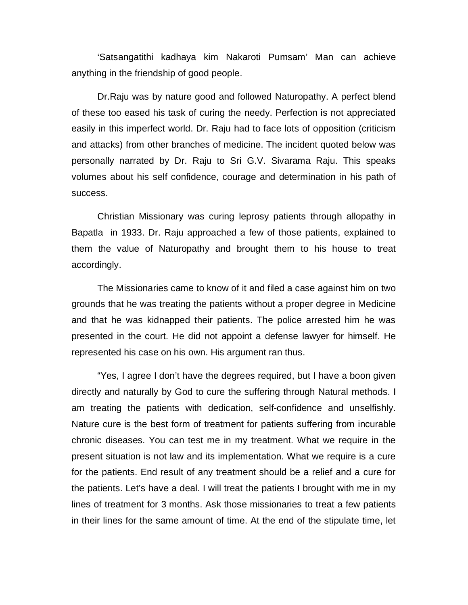'Satsangatithi kadhaya kim Nakaroti Pumsam' Man can achieve anything in the friendship of good people.

Dr.Raju was by nature good and followed Naturopathy. A perfect blend of these too eased his task of curing the needy. Perfection is not appreciated easily in this imperfect world. Dr. Raju had to face lots of opposition (criticism and attacks) from other branches of medicine. The incident quoted below was personally narrated by Dr. Raju to Sri G.V. Sivarama Raju. This speaks volumes about his self confidence, courage and determination in his path of success.

Christian Missionary was curing leprosy patients through allopathy in Bapatla in 1933. Dr. Raju approached a few of those patients, explained to them the value of Naturopathy and brought them to his house to treat accordingly.

The Missionaries came to know of it and filed a case against him on two grounds that he was treating the patients without a proper degree in Medicine and that he was kidnapped their patients. The police arrested him he was presented in the court. He did not appoint a defense lawyer for himself. He represented his case on his own. His argument ran thus.

"Yes, I agree I don't have the degrees required, but I have a boon given directly and naturally by God to cure the suffering through Natural methods. I am treating the patients with dedication, self-confidence and unselfishly. Nature cure is the best form of treatment for patients suffering from incurable chronic diseases. You can test me in my treatment. What we require in the present situation is not law and its implementation. What we require is a cure for the patients. End result of any treatment should be a relief and a cure for the patients. Let's have a deal. I will treat the patients I brought with me in my lines of treatment for 3 months. Ask those missionaries to treat a few patients in their lines for the same amount of time. At the end of the stipulate time, let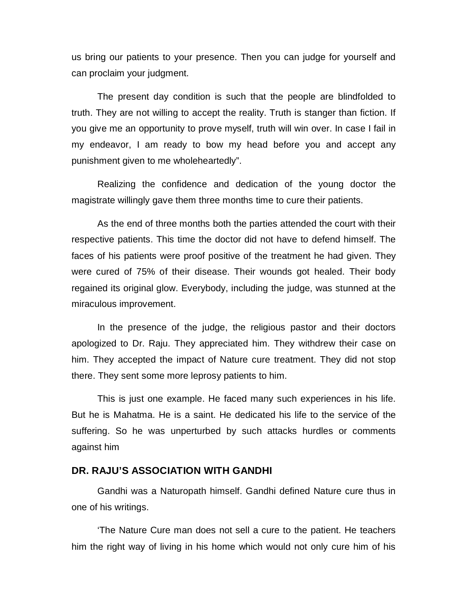us bring our patients to your presence. Then you can judge for yourself and can proclaim your judgment.

The present day condition is such that the people are blindfolded to truth. They are not willing to accept the reality. Truth is stanger than fiction. If you give me an opportunity to prove myself, truth will win over. In case I fail in my endeavor, I am ready to bow my head before you and accept any punishment given to me wholeheartedly".

Realizing the confidence and dedication of the young doctor the magistrate willingly gave them three months time to cure their patients.

As the end of three months both the parties attended the court with their respective patients. This time the doctor did not have to defend himself. The faces of his patients were proof positive of the treatment he had given. They were cured of 75% of their disease. Their wounds got healed. Their body regained its original glow. Everybody, including the judge, was stunned at the miraculous improvement.

In the presence of the judge, the religious pastor and their doctors apologized to Dr. Raju. They appreciated him. They withdrew their case on him. They accepted the impact of Nature cure treatment. They did not stop there. They sent some more leprosy patients to him.

This is just one example. He faced many such experiences in his life. But he is Mahatma. He is a saint. He dedicated his life to the service of the suffering. So he was unperturbed by such attacks hurdles or comments against him

# **DR. RAJU'S ASSOCIATION WITH GANDHI**

Gandhi was a Naturopath himself. Gandhi defined Nature cure thus in one of his writings.

'The Nature Cure man does not sell a cure to the patient. He teachers him the right way of living in his home which would not only cure him of his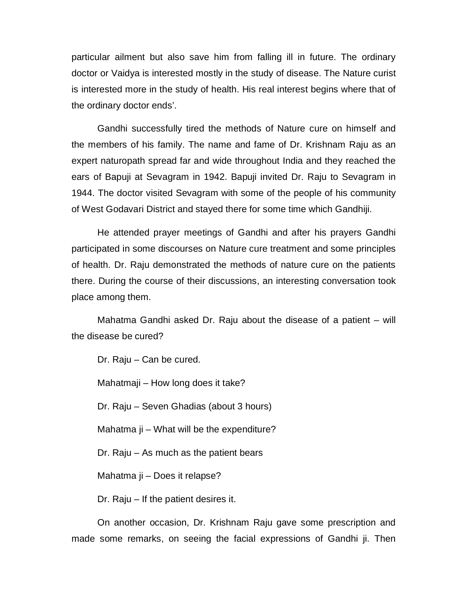particular ailment but also save him from falling ill in future. The ordinary doctor or Vaidya is interested mostly in the study of disease. The Nature curist is interested more in the study of health. His real interest begins where that of the ordinary doctor ends'.

Gandhi successfully tired the methods of Nature cure on himself and the members of his family. The name and fame of Dr. Krishnam Raju as an expert naturopath spread far and wide throughout India and they reached the ears of Bapuji at Sevagram in 1942. Bapuji invited Dr. Raju to Sevagram in 1944. The doctor visited Sevagram with some of the people of his community of West Godavari District and stayed there for some time which Gandhiji.

He attended prayer meetings of Gandhi and after his prayers Gandhi participated in some discourses on Nature cure treatment and some principles of health. Dr. Raju demonstrated the methods of nature cure on the patients there. During the course of their discussions, an interesting conversation took place among them.

Mahatma Gandhi asked Dr. Raju about the disease of a patient – will the disease be cured?

Dr. Raju – Can be cured.

Mahatmaji – How long does it take?

Dr. Raju – Seven Ghadias (about 3 hours)

Mahatma ji – What will be the expenditure?

Dr. Raju – As much as the patient bears

Mahatma ji – Does it relapse?

Dr. Raju – If the patient desires it.

On another occasion, Dr. Krishnam Raju gave some prescription and made some remarks, on seeing the facial expressions of Gandhi ji. Then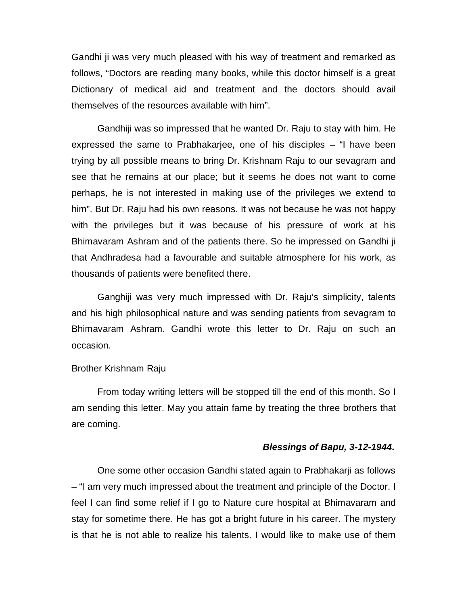Gandhi ji was very much pleased with his way of treatment and remarked as follows, "Doctors are reading many books, while this doctor himself is a great Dictionary of medical aid and treatment and the doctors should avail themselves of the resources available with him".

Gandhiji was so impressed that he wanted Dr. Raju to stay with him. He expressed the same to Prabhakarjee, one of his disciples – "I have been trying by all possible means to bring Dr. Krishnam Raju to our sevagram and see that he remains at our place; but it seems he does not want to come perhaps, he is not interested in making use of the privileges we extend to him". But Dr. Raju had his own reasons. It was not because he was not happy with the privileges but it was because of his pressure of work at his Bhimavaram Ashram and of the patients there. So he impressed on Gandhi ji that Andhradesa had a favourable and suitable atmosphere for his work, as thousands of patients were benefited there.

Ganghiji was very much impressed with Dr. Raju's simplicity, talents and his high philosophical nature and was sending patients from sevagram to Bhimavaram Ashram. Gandhi wrote this letter to Dr. Raju on such an occasion.

#### Brother Krishnam Raju

From today writing letters will be stopped till the end of this month. So I am sending this letter. May you attain fame by treating the three brothers that are coming.

#### *Blessings of Bapu, 3-12-1944.*

One some other occasion Gandhi stated again to Prabhakarji as follows – "I am very much impressed about the treatment and principle of the Doctor. I feel I can find some relief if I go to Nature cure hospital at Bhimavaram and stay for sometime there. He has got a bright future in his career. The mystery is that he is not able to realize his talents. I would like to make use of them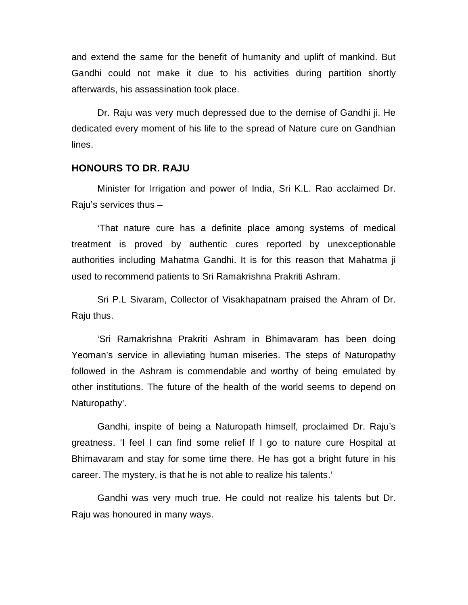and extend the same for the benefit of humanity and uplift of mankind. But Gandhi could not make it due to his activities during partition shortly afterwards, his assassination took place.

Dr. Raju was very much depressed due to the demise of Gandhi ji. He dedicated every moment of his life to the spread of Nature cure on Gandhian lines.

#### **HONOURS TO DR. RAJU**

Minister for Irrigation and power of India, Sri K.L. Rao acclaimed Dr. Raju's services thus –

'That nature cure has a definite place among systems of medical treatment is proved by authentic cures reported by unexceptionable authorities including Mahatma Gandhi. It is for this reason that Mahatma ji used to recommend patients to Sri Ramakrishna Prakriti Ashram.

Sri P.L Sivaram, Collector of Visakhapatnam praised the Ahram of Dr. Raju thus.

'Sri Ramakrishna Prakriti Ashram in Bhimavaram has been doing Yeoman's service in alleviating human miseries. The steps of Naturopathy followed in the Ashram is commendable and worthy of being emulated by other institutions. The future of the health of the world seems to depend on Naturopathy'.

Gandhi, inspite of being a Naturopath himself, proclaimed Dr. Raju's greatness. 'I feel I can find some relief If I go to nature cure Hospital at Bhimavaram and stay for some time there. He has got a bright future in his career. The mystery, is that he is not able to realize his talents.'

Gandhi was very much true. He could not realize his talents but Dr. Raju was honoured in many ways.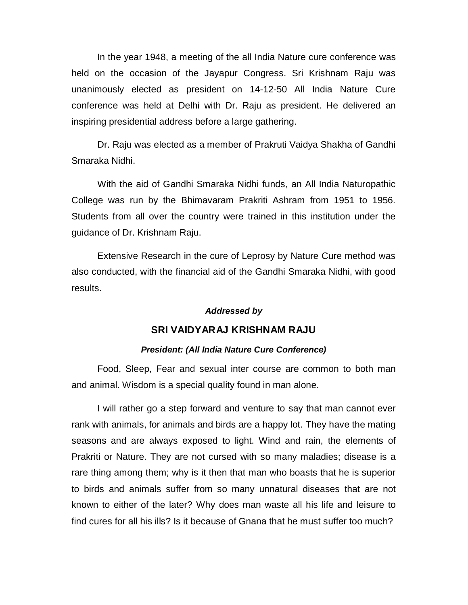In the year 1948, a meeting of the all India Nature cure conference was held on the occasion of the Jayapur Congress. Sri Krishnam Raju was unanimously elected as president on 14-12-50 All India Nature Cure conference was held at Delhi with Dr. Raju as president. He delivered an inspiring presidential address before a large gathering.

Dr. Raju was elected as a member of Prakruti Vaidya Shakha of Gandhi Smaraka Nidhi.

With the aid of Gandhi Smaraka Nidhi funds, an All India Naturopathic College was run by the Bhimavaram Prakriti Ashram from 1951 to 1956. Students from all over the country were trained in this institution under the guidance of Dr. Krishnam Raju.

Extensive Research in the cure of Leprosy by Nature Cure method was also conducted, with the financial aid of the Gandhi Smaraka Nidhi, with good results.

#### *Addressed by*

#### **SRI VAIDYARAJ KRISHNAM RAJU**

#### *President: (All India Nature Cure Conference)*

Food, Sleep, Fear and sexual inter course are common to both man and animal. Wisdom is a special quality found in man alone.

I will rather go a step forward and venture to say that man cannot ever rank with animals, for animals and birds are a happy lot. They have the mating seasons and are always exposed to light. Wind and rain, the elements of Prakriti or Nature. They are not cursed with so many maladies; disease is a rare thing among them; why is it then that man who boasts that he is superior to birds and animals suffer from so many unnatural diseases that are not known to either of the later? Why does man waste all his life and leisure to find cures for all his ills? Is it because of Gnana that he must suffer too much?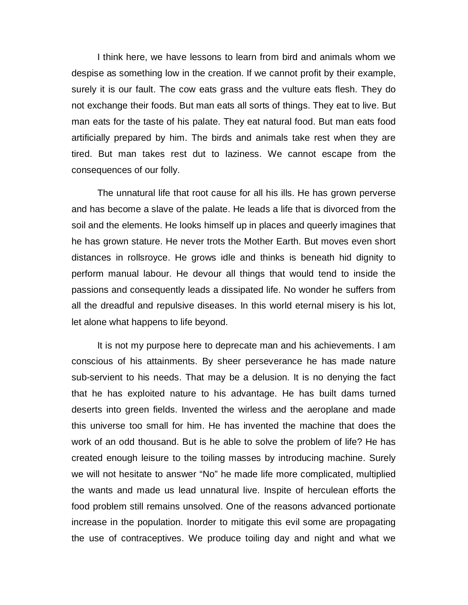I think here, we have lessons to learn from bird and animals whom we despise as something low in the creation. If we cannot profit by their example, surely it is our fault. The cow eats grass and the vulture eats flesh. They do not exchange their foods. But man eats all sorts of things. They eat to live. But man eats for the taste of his palate. They eat natural food. But man eats food artificially prepared by him. The birds and animals take rest when they are tired. But man takes rest dut to laziness. We cannot escape from the consequences of our folly.

The unnatural life that root cause for all his ills. He has grown perverse and has become a slave of the palate. He leads a life that is divorced from the soil and the elements. He looks himself up in places and queerly imagines that he has grown stature. He never trots the Mother Earth. But moves even short distances in rollsroyce. He grows idle and thinks is beneath hid dignity to perform manual labour. He devour all things that would tend to inside the passions and consequently leads a dissipated life. No wonder he suffers from all the dreadful and repulsive diseases. In this world eternal misery is his lot, let alone what happens to life beyond.

It is not my purpose here to deprecate man and his achievements. I am conscious of his attainments. By sheer perseverance he has made nature sub-servient to his needs. That may be a delusion. It is no denying the fact that he has exploited nature to his advantage. He has built dams turned deserts into green fields. Invented the wirless and the aeroplane and made this universe too small for him. He has invented the machine that does the work of an odd thousand. But is he able to solve the problem of life? He has created enough leisure to the toiling masses by introducing machine. Surely we will not hesitate to answer "No" he made life more complicated, multiplied the wants and made us lead unnatural live. Inspite of herculean efforts the food problem still remains unsolved. One of the reasons advanced portionate increase in the population. Inorder to mitigate this evil some are propagating the use of contraceptives. We produce toiling day and night and what we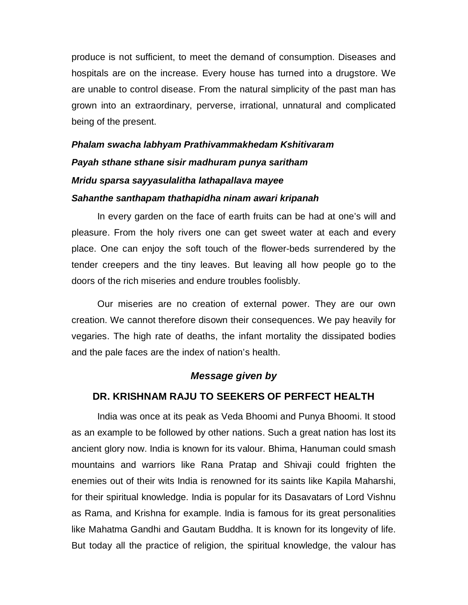produce is not sufficient, to meet the demand of consumption. Diseases and hospitals are on the increase. Every house has turned into a drugstore. We are unable to control disease. From the natural simplicity of the past man has grown into an extraordinary, perverse, irrational, unnatural and complicated being of the present.

# *Phalam swacha labhyam Prathivammakhedam Kshitivaram Payah sthane sthane sisir madhuram punya saritham Mridu sparsa sayyasulalitha lathapallava mayee Sahanthe santhapam thathapidha ninam awari kripanah*

In every garden on the face of earth fruits can be had at one's will and pleasure. From the holy rivers one can get sweet water at each and every place. One can enjoy the soft touch of the flower-beds surrendered by the tender creepers and the tiny leaves. But leaving all how people go to the doors of the rich miseries and endure troubles foolisbly.

Our miseries are no creation of external power. They are our own creation. We cannot therefore disown their consequences. We pay heavily for vegaries. The high rate of deaths, the infant mortality the dissipated bodies and the pale faces are the index of nation's health.

# *Message given by*

# **DR. KRISHNAM RAJU TO SEEKERS OF PERFECT HEALTH**

India was once at its peak as Veda Bhoomi and Punya Bhoomi. It stood as an example to be followed by other nations. Such a great nation has lost its ancient glory now. India is known for its valour. Bhima, Hanuman could smash mountains and warriors like Rana Pratap and Shivaji could frighten the enemies out of their wits India is renowned for its saints like Kapila Maharshi, for their spiritual knowledge. India is popular for its Dasavatars of Lord Vishnu as Rama, and Krishna for example. India is famous for its great personalities like Mahatma Gandhi and Gautam Buddha. It is known for its longevity of life. But today all the practice of religion, the spiritual knowledge, the valour has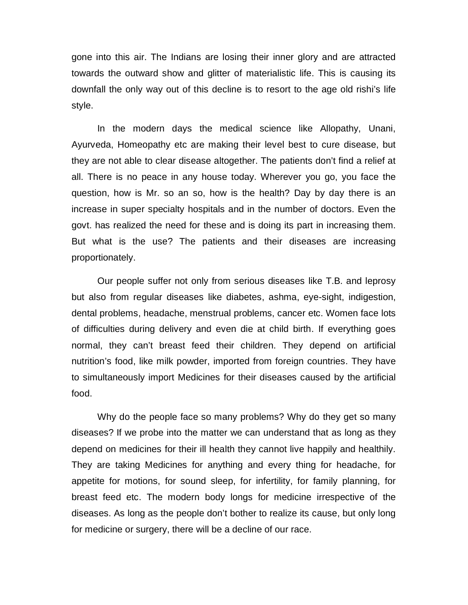gone into this air. The Indians are losing their inner glory and are attracted towards the outward show and glitter of materialistic life. This is causing its downfall the only way out of this decline is to resort to the age old rishi's life style.

In the modern days the medical science like Allopathy, Unani, Ayurveda, Homeopathy etc are making their level best to cure disease, but they are not able to clear disease altogether. The patients don't find a relief at all. There is no peace in any house today. Wherever you go, you face the question, how is Mr. so an so, how is the health? Day by day there is an increase in super specialty hospitals and in the number of doctors. Even the govt. has realized the need for these and is doing its part in increasing them. But what is the use? The patients and their diseases are increasing proportionately.

Our people suffer not only from serious diseases like T.B. and leprosy but also from regular diseases like diabetes, ashma, eye-sight, indigestion, dental problems, headache, menstrual problems, cancer etc. Women face lots of difficulties during delivery and even die at child birth. If everything goes normal, they can't breast feed their children. They depend on artificial nutrition's food, like milk powder, imported from foreign countries. They have to simultaneously import Medicines for their diseases caused by the artificial food.

Why do the people face so many problems? Why do they get so many diseases? If we probe into the matter we can understand that as long as they depend on medicines for their ill health they cannot live happily and healthily. They are taking Medicines for anything and every thing for headache, for appetite for motions, for sound sleep, for infertility, for family planning, for breast feed etc. The modern body longs for medicine irrespective of the diseases. As long as the people don't bother to realize its cause, but only long for medicine or surgery, there will be a decline of our race.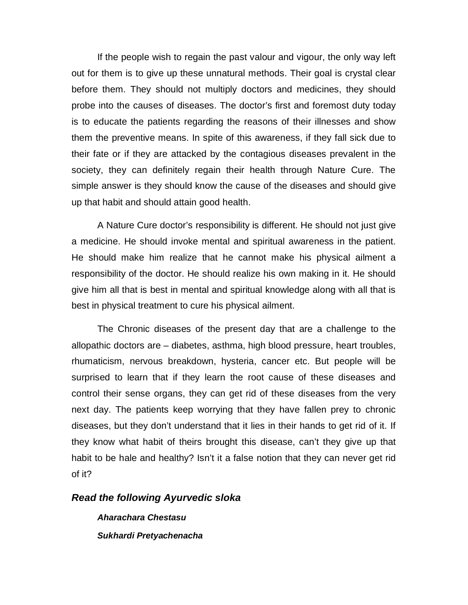If the people wish to regain the past valour and vigour, the only way left out for them is to give up these unnatural methods. Their goal is crystal clear before them. They should not multiply doctors and medicines, they should probe into the causes of diseases. The doctor's first and foremost duty today is to educate the patients regarding the reasons of their illnesses and show them the preventive means. In spite of this awareness, if they fall sick due to their fate or if they are attacked by the contagious diseases prevalent in the society, they can definitely regain their health through Nature Cure. The simple answer is they should know the cause of the diseases and should give up that habit and should attain good health.

A Nature Cure doctor's responsibility is different. He should not just give a medicine. He should invoke mental and spiritual awareness in the patient. He should make him realize that he cannot make his physical ailment a responsibility of the doctor. He should realize his own making in it. He should give him all that is best in mental and spiritual knowledge along with all that is best in physical treatment to cure his physical ailment.

The Chronic diseases of the present day that are a challenge to the allopathic doctors are – diabetes, asthma, high blood pressure, heart troubles, rhumaticism, nervous breakdown, hysteria, cancer etc. But people will be surprised to learn that if they learn the root cause of these diseases and control their sense organs, they can get rid of these diseases from the very next day. The patients keep worrying that they have fallen prey to chronic diseases, but they don't understand that it lies in their hands to get rid of it. If they know what habit of theirs brought this disease, can't they give up that habit to be hale and healthy? Isn't it a false notion that they can never get rid of it?

#### *Read the following Ayurvedic sloka*

*Aharachara Chestasu Sukhardi Pretyachenacha*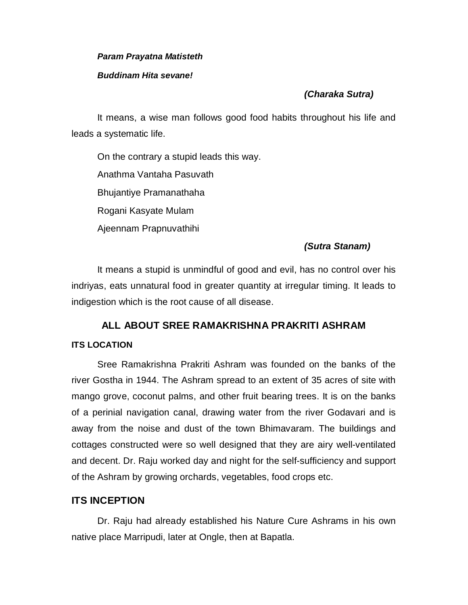#### *Param Prayatna Matisteth*

#### *Buddinam Hita sevane!*

# *(Charaka Sutra)*

It means, a wise man follows good food habits throughout his life and leads a systematic life.

On the contrary a stupid leads this way. Anathma Vantaha Pasuvath Bhujantiye Pramanathaha Rogani Kasyate Mulam Ajeennam Prapnuvathihi

# *(Sutra Stanam)*

It means a stupid is unmindful of good and evil, has no control over his indriyas, eats unnatural food in greater quantity at irregular timing. It leads to indigestion which is the root cause of all disease.

# **ALL ABOUT SREE RAMAKRISHNA PRAKRITI ASHRAM ITS LOCATION**

Sree Ramakrishna Prakriti Ashram was founded on the banks of the river Gostha in 1944. The Ashram spread to an extent of 35 acres of site with mango grove, coconut palms, and other fruit bearing trees. It is on the banks of a perinial navigation canal, drawing water from the river Godavari and is away from the noise and dust of the town Bhimavaram. The buildings and cottages constructed were so well designed that they are airy well-ventilated and decent. Dr. Raju worked day and night for the self-sufficiency and support of the Ashram by growing orchards, vegetables, food crops etc.

# **ITS INCEPTION**

Dr. Raju had already established his Nature Cure Ashrams in his own native place Marripudi, later at Ongle, then at Bapatla.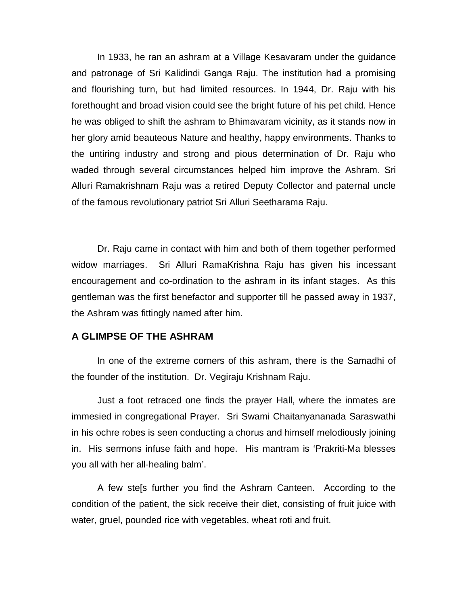In 1933, he ran an ashram at a Village Kesavaram under the guidance and patronage of Sri Kalidindi Ganga Raju. The institution had a promising and flourishing turn, but had limited resources. In 1944, Dr. Raju with his forethought and broad vision could see the bright future of his pet child. Hence he was obliged to shift the ashram to Bhimavaram vicinity, as it stands now in her glory amid beauteous Nature and healthy, happy environments. Thanks to the untiring industry and strong and pious determination of Dr. Raju who waded through several circumstances helped him improve the Ashram. Sri Alluri Ramakrishnam Raju was a retired Deputy Collector and paternal uncle of the famous revolutionary patriot Sri Alluri Seetharama Raju.

Dr. Raju came in contact with him and both of them together performed widow marriages. Sri Alluri RamaKrishna Raju has given his incessant encouragement and co-ordination to the ashram in its infant stages. As this gentleman was the first benefactor and supporter till he passed away in 1937, the Ashram was fittingly named after him.

#### **A GLIMPSE OF THE ASHRAM**

In one of the extreme corners of this ashram, there is the Samadhi of the founder of the institution. Dr. Vegiraju Krishnam Raju.

Just a foot retraced one finds the prayer Hall, where the inmates are immesied in congregational Prayer. Sri Swami Chaitanyananada Saraswathi in his ochre robes is seen conducting a chorus and himself melodiously joining in. His sermons infuse faith and hope. His mantram is 'Prakriti-Ma blesses you all with her all-healing balm'.

A few ste[s further you find the Ashram Canteen. According to the condition of the patient, the sick receive their diet, consisting of fruit juice with water, gruel, pounded rice with vegetables, wheat roti and fruit.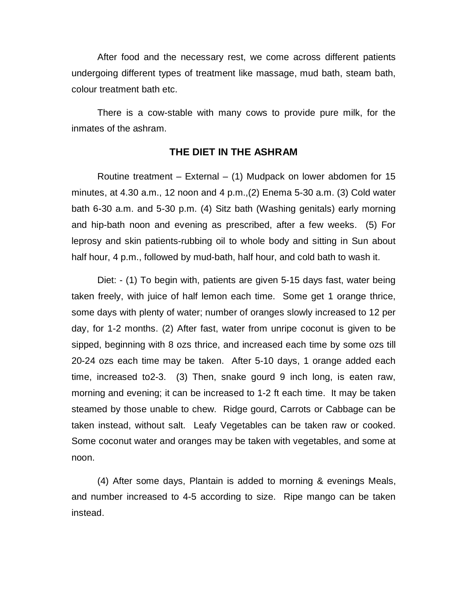After food and the necessary rest, we come across different patients undergoing different types of treatment like massage, mud bath, steam bath, colour treatment bath etc.

There is a cow-stable with many cows to provide pure milk, for the inmates of the ashram.

# **THE DIET IN THE ASHRAM**

Routine treatment – External –  $(1)$  Mudpack on lower abdomen for 15 minutes, at 4.30 a.m., 12 noon and 4 p.m.,(2) Enema 5-30 a.m. (3) Cold water bath 6-30 a.m. and 5-30 p.m. (4) Sitz bath (Washing genitals) early morning and hip-bath noon and evening as prescribed, after a few weeks. (5) For leprosy and skin patients-rubbing oil to whole body and sitting in Sun about half hour, 4 p.m., followed by mud-bath, half hour, and cold bath to wash it.

Diet: - (1) To begin with, patients are given 5-15 days fast, water being taken freely, with juice of half lemon each time. Some get 1 orange thrice, some days with plenty of water; number of oranges slowly increased to 12 per day, for 1-2 months. (2) After fast, water from unripe coconut is given to be sipped, beginning with 8 ozs thrice, and increased each time by some ozs till 20-24 ozs each time may be taken. After 5-10 days, 1 orange added each time, increased to2-3. (3) Then, snake gourd 9 inch long, is eaten raw, morning and evening; it can be increased to 1-2 ft each time. It may be taken steamed by those unable to chew. Ridge gourd, Carrots or Cabbage can be taken instead, without salt. Leafy Vegetables can be taken raw or cooked. Some coconut water and oranges may be taken with vegetables, and some at noon.

(4) After some days, Plantain is added to morning & evenings Meals, and number increased to 4-5 according to size. Ripe mango can be taken instead.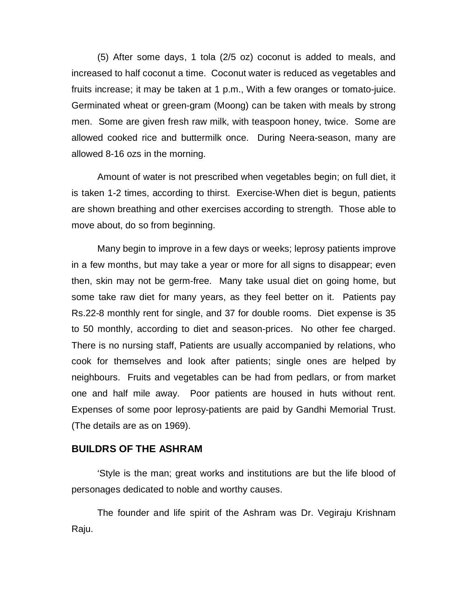(5) After some days, 1 tola (2/5 oz) coconut is added to meals, and increased to half coconut a time. Coconut water is reduced as vegetables and fruits increase; it may be taken at 1 p.m., With a few oranges or tomato-juice. Germinated wheat or green-gram (Moong) can be taken with meals by strong men. Some are given fresh raw milk, with teaspoon honey, twice. Some are allowed cooked rice and buttermilk once. During Neera-season, many are allowed 8-16 ozs in the morning.

Amount of water is not prescribed when vegetables begin; on full diet, it is taken 1-2 times, according to thirst. Exercise-When diet is begun, patients are shown breathing and other exercises according to strength. Those able to move about, do so from beginning.

Many begin to improve in a few days or weeks; leprosy patients improve in a few months, but may take a year or more for all signs to disappear; even then, skin may not be germ-free. Many take usual diet on going home, but some take raw diet for many years, as they feel better on it. Patients pay Rs.22-8 monthly rent for single, and 37 for double rooms. Diet expense is 35 to 50 monthly, according to diet and season-prices. No other fee charged. There is no nursing staff, Patients are usually accompanied by relations, who cook for themselves and look after patients; single ones are helped by neighbours. Fruits and vegetables can be had from pedlars, or from market one and half mile away. Poor patients are housed in huts without rent. Expenses of some poor leprosy-patients are paid by Gandhi Memorial Trust. (The details are as on 1969).

#### **BUILDRS OF THE ASHRAM**

'Style is the man; great works and institutions are but the life blood of personages dedicated to noble and worthy causes.

The founder and life spirit of the Ashram was Dr. Vegiraju Krishnam Raju.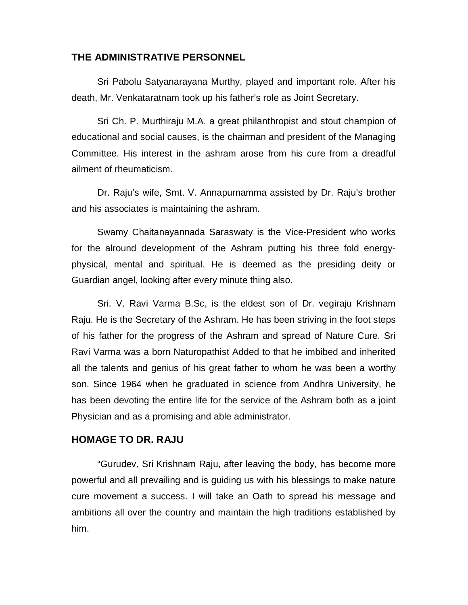# **THE ADMINISTRATIVE PERSONNEL**

Sri Pabolu Satyanarayana Murthy, played and important role. After his death, Mr. Venkataratnam took up his father's role as Joint Secretary.

Sri Ch. P. Murthiraju M.A. a great philanthropist and stout champion of educational and social causes, is the chairman and president of the Managing Committee. His interest in the ashram arose from his cure from a dreadful ailment of rheumaticism.

Dr. Raju's wife, Smt. V. Annapurnamma assisted by Dr. Raju's brother and his associates is maintaining the ashram.

Swamy Chaitanayannada Saraswaty is the Vice-President who works for the alround development of the Ashram putting his three fold energyphysical, mental and spiritual. He is deemed as the presiding deity or Guardian angel, looking after every minute thing also.

Sri. V. Ravi Varma B.Sc, is the eldest son of Dr. vegiraju Krishnam Raju. He is the Secretary of the Ashram. He has been striving in the foot steps of his father for the progress of the Ashram and spread of Nature Cure. Sri Ravi Varma was a born Naturopathist Added to that he imbibed and inherited all the talents and genius of his great father to whom he was been a worthy son. Since 1964 when he graduated in science from Andhra University, he has been devoting the entire life for the service of the Ashram both as a joint Physician and as a promising and able administrator.

# **HOMAGE TO DR. RAJU**

"Gurudev, Sri Krishnam Raju, after leaving the body, has become more powerful and all prevailing and is guiding us with his blessings to make nature cure movement a success. I will take an Oath to spread his message and ambitions all over the country and maintain the high traditions established by him.